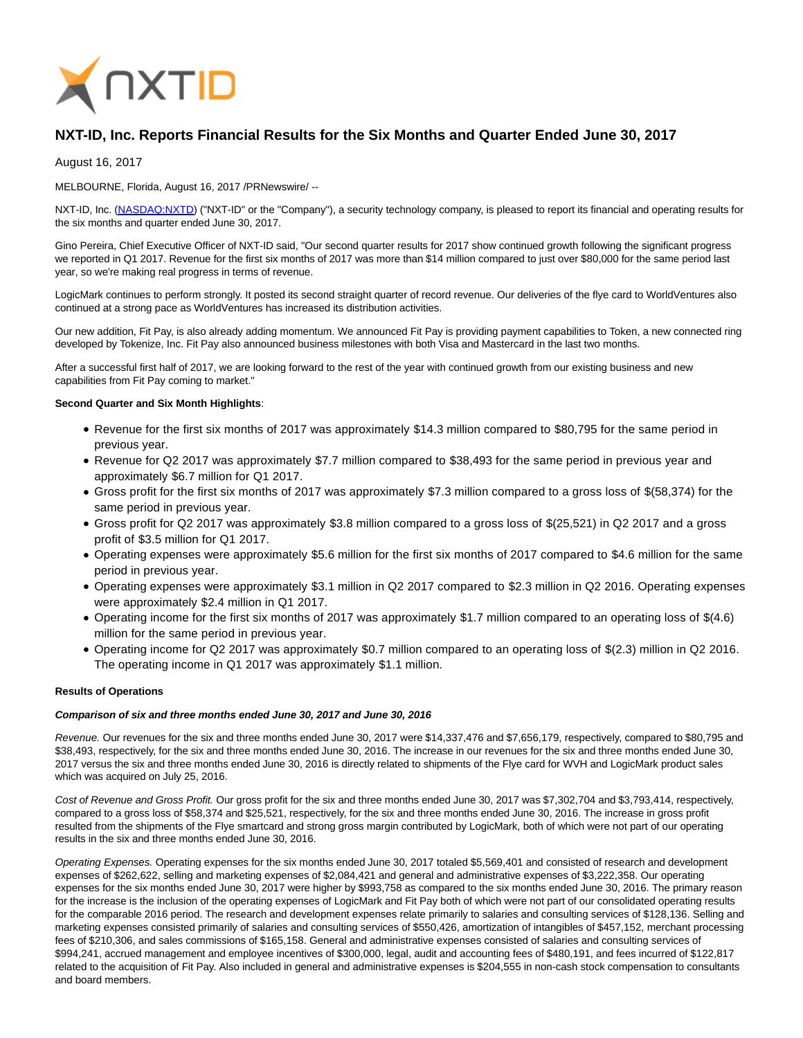

# **NXT-ID, Inc. Reports Financial Results for the Six Months and Quarter Ended June 30, 2017**

August 16, 2017

MELBOURNE, Florida, August 16, 2017 /PRNewswire/ --

NXT-ID, Inc. [\(NASDAQ:NXTD\)](http://finance.yahoo.com/q?s=nxtd) ("NXT-ID" or the "Company"), a security technology company, is pleased to report its financial and operating results for the six months and quarter ended June 30, 2017.

Gino Pereira, Chief Executive Officer of NXT-ID said, "Our second quarter results for 2017 show continued growth following the significant progress we reported in Q1 2017. Revenue for the first six months of 2017 was more than \$14 million compared to just over \$80,000 for the same period last year, so we're making real progress in terms of revenue.

LogicMark continues to perform strongly. It posted its second straight quarter of record revenue. Our deliveries of the flye card to WorldVentures also continued at a strong pace as WorldVentures has increased its distribution activities.

Our new addition, Fit Pay, is also already adding momentum. We announced Fit Pay is providing payment capabilities to Token, a new connected ring developed by Tokenize, Inc. Fit Pay also announced business milestones with both Visa and Mastercard in the last two months.

After a successful first half of 2017, we are looking forward to the rest of the year with continued growth from our existing business and new capabilities from Fit Pay coming to market."

# **Second Quarter and Six Month Highlights**:

- Revenue for the first six months of 2017 was approximately \$14.3 million compared to \$80,795 for the same period in previous year.
- Revenue for Q2 2017 was approximately \$7.7 million compared to \$38,493 for the same period in previous year and approximately \$6.7 million for Q1 2017.
- Gross profit for the first six months of 2017 was approximately \$7.3 million compared to a gross loss of \$(58,374) for the same period in previous year.
- Gross profit for Q2 2017 was approximately \$3.8 million compared to a gross loss of \$(25,521) in Q2 2017 and a gross profit of \$3.5 million for Q1 2017.
- Operating expenses were approximately \$5.6 million for the first six months of 2017 compared to \$4.6 million for the same period in previous year.
- Operating expenses were approximately \$3.1 million in Q2 2017 compared to \$2.3 million in Q2 2016. Operating expenses were approximately \$2.4 million in Q1 2017.
- Operating income for the first six months of 2017 was approximately \$1.7 million compared to an operating loss of \$(4.6) million for the same period in previous year.
- Operating income for Q2 2017 was approximately \$0.7 million compared to an operating loss of \$(2.3) million in Q2 2016. The operating income in Q1 2017 was approximately \$1.1 million.

# **Results of Operations**

# **Comparison of six and three months ended June 30, 2017 and June 30, 2016**

Revenue. Our revenues for the six and three months ended June 30, 2017 were \$14,337,476 and \$7,656,179, respectively, compared to \$80,795 and \$38,493, respectively, for the six and three months ended June 30, 2016. The increase in our revenues for the six and three months ended June 30, 2017 versus the six and three months ended June 30, 2016 is directly related to shipments of the Flye card for WVH and LogicMark product sales which was acquired on July 25, 2016.

Cost of Revenue and Gross Profit. Our gross profit for the six and three months ended June 30, 2017 was \$7,302,704 and \$3,793,414, respectively, compared to a gross loss of \$58,374 and \$25,521, respectively, for the six and three months ended June 30, 2016. The increase in gross profit resulted from the shipments of the Flye smartcard and strong gross margin contributed by LogicMark, both of which were not part of our operating results in the six and three months ended June 30, 2016.

Operating Expenses. Operating expenses for the six months ended June 30, 2017 totaled \$5,569,401 and consisted of research and development expenses of \$262,622, selling and marketing expenses of \$2,084,421 and general and administrative expenses of \$3,222,358. Our operating expenses for the six months ended June 30, 2017 were higher by \$993,758 as compared to the six months ended June 30, 2016. The primary reason for the increase is the inclusion of the operating expenses of LogicMark and Fit Pay both of which were not part of our consolidated operating results for the comparable 2016 period. The research and development expenses relate primarily to salaries and consulting services of \$128,136. Selling and marketing expenses consisted primarily of salaries and consulting services of \$550,426, amortization of intangibles of \$457,152, merchant processing fees of \$210,306, and sales commissions of \$165,158. General and administrative expenses consisted of salaries and consulting services of \$994,241, accrued management and employee incentives of \$300,000, legal, audit and accounting fees of \$480,191, and fees incurred of \$122,817 related to the acquisition of Fit Pay. Also included in general and administrative expenses is \$204,555 in non-cash stock compensation to consultants and board members.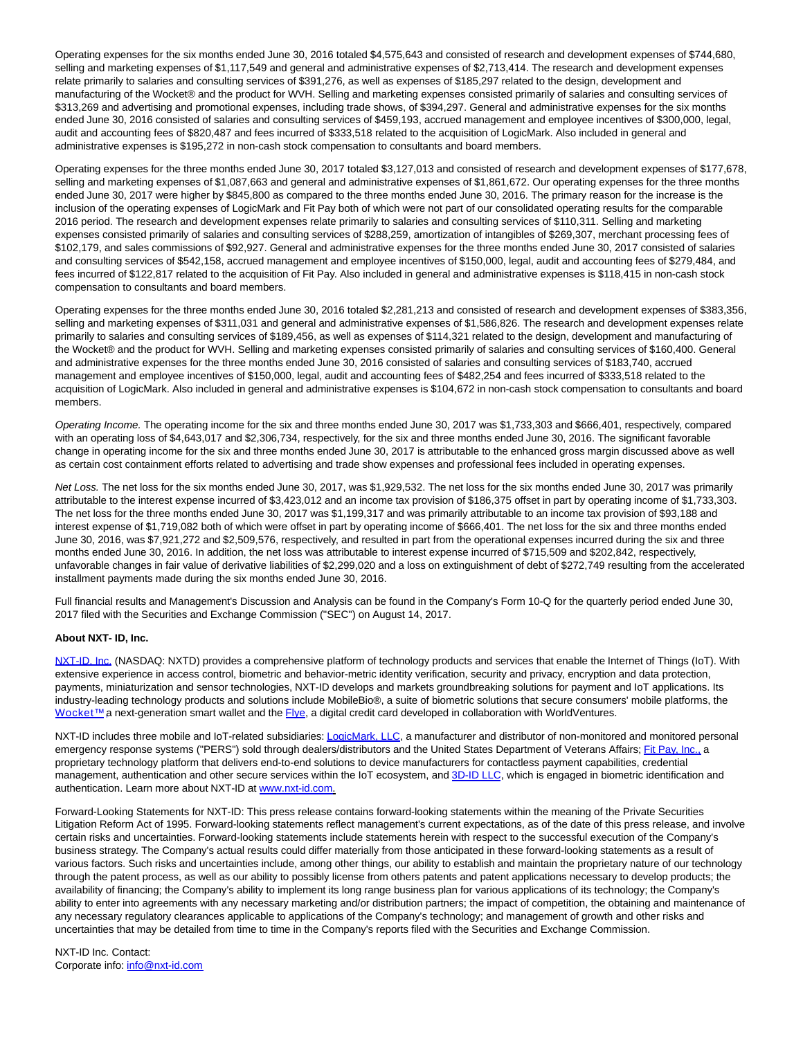Operating expenses for the six months ended June 30, 2016 totaled \$4,575,643 and consisted of research and development expenses of \$744,680, selling and marketing expenses of \$1,117,549 and general and administrative expenses of \$2,713,414. The research and development expenses relate primarily to salaries and consulting services of \$391,276, as well as expenses of \$185,297 related to the design, development and manufacturing of the Wocket® and the product for WVH. Selling and marketing expenses consisted primarily of salaries and consulting services of \$313,269 and advertising and promotional expenses, including trade shows, of \$394,297. General and administrative expenses for the six months ended June 30, 2016 consisted of salaries and consulting services of \$459,193, accrued management and employee incentives of \$300,000, legal, audit and accounting fees of \$820,487 and fees incurred of \$333,518 related to the acquisition of LogicMark. Also included in general and administrative expenses is \$195,272 in non-cash stock compensation to consultants and board members.

Operating expenses for the three months ended June 30, 2017 totaled \$3,127,013 and consisted of research and development expenses of \$177,678, selling and marketing expenses of \$1,087,663 and general and administrative expenses of \$1,861,672. Our operating expenses for the three months ended June 30, 2017 were higher by \$845,800 as compared to the three months ended June 30, 2016. The primary reason for the increase is the inclusion of the operating expenses of LogicMark and Fit Pay both of which were not part of our consolidated operating results for the comparable 2016 period. The research and development expenses relate primarily to salaries and consulting services of \$110,311. Selling and marketing expenses consisted primarily of salaries and consulting services of \$288,259, amortization of intangibles of \$269,307, merchant processing fees of \$102,179, and sales commissions of \$92,927. General and administrative expenses for the three months ended June 30, 2017 consisted of salaries and consulting services of \$542,158, accrued management and employee incentives of \$150,000, legal, audit and accounting fees of \$279,484, and fees incurred of \$122,817 related to the acquisition of Fit Pay. Also included in general and administrative expenses is \$118,415 in non-cash stock compensation to consultants and board members.

Operating expenses for the three months ended June 30, 2016 totaled \$2,281,213 and consisted of research and development expenses of \$383,356, selling and marketing expenses of \$311,031 and general and administrative expenses of \$1,586,826. The research and development expenses relate primarily to salaries and consulting services of \$189,456, as well as expenses of \$114,321 related to the design, development and manufacturing of the Wocket® and the product for WVH. Selling and marketing expenses consisted primarily of salaries and consulting services of \$160,400. General and administrative expenses for the three months ended June 30, 2016 consisted of salaries and consulting services of \$183,740, accrued management and employee incentives of \$150,000, legal, audit and accounting fees of \$482,254 and fees incurred of \$333,518 related to the acquisition of LogicMark. Also included in general and administrative expenses is \$104,672 in non-cash stock compensation to consultants and board members.

Operating Income. The operating income for the six and three months ended June 30, 2017 was \$1,733,303 and \$666,401, respectively, compared with an operating loss of \$4,643,017 and \$2,306,734, respectively, for the six and three months ended June 30, 2016. The significant favorable change in operating income for the six and three months ended June 30, 2017 is attributable to the enhanced gross margin discussed above as well as certain cost containment efforts related to advertising and trade show expenses and professional fees included in operating expenses.

Net Loss. The net loss for the six months ended June 30, 2017, was \$1,929,532. The net loss for the six months ended June 30, 2017 was primarily attributable to the interest expense incurred of \$3,423,012 and an income tax provision of \$186,375 offset in part by operating income of \$1,733,303. The net loss for the three months ended June 30, 2017 was \$1,199,317 and was primarily attributable to an income tax provision of \$93,188 and interest expense of \$1,719,082 both of which were offset in part by operating income of \$666,401. The net loss for the six and three months ended June 30, 2016, was \$7,921,272 and \$2,509,576, respectively, and resulted in part from the operational expenses incurred during the six and three months ended June 30, 2016. In addition, the net loss was attributable to interest expense incurred of \$715,509 and \$202,842, respectively, unfavorable changes in fair value of derivative liabilities of \$2,299,020 and a loss on extinguishment of debt of \$272,749 resulting from the accelerated installment payments made during the six months ended June 30, 2016.

Full financial results and Management's Discussion and Analysis can be found in the Company's Form 10-Q for the quarterly period ended June 30, 2017 filed with the Securities and Exchange Commission ("SEC") on August 14, 2017.

# **About NXT- ID, Inc.**

[NXT-ID, Inc. \(](http://www.nxt-id.com/)NASDAQ: NXTD) provides a comprehensive platform of technology products and services that enable the Internet of Things (IoT). With extensive experience in access control, biometric and behavior-metric identity verification, security and privacy, encryption and data protection, payments, miniaturization and sensor technologies, NXT-ID develops and markets groundbreaking solutions for payment and IoT applications. Its industry-leading technology products and solutions include MobileBio®, a suite of biometric solutions that secure consumers' mobile platforms, the Wocket™ a next-generation smart wallet and the [Flye,](https://www.flye.com/) a digital credit card developed in collaboration with WorldVentures.

NXT-ID includes three mobile and IoT-related subsidiaries[: LogicMark, LLC,](https://www.logicmark.com/) a manufacturer and distributor of non-monitored and monitored personal emergency response systems ("PERS") sold through dealers/distributors and the United States Department of Veterans Affairs[; Fit Pay, Inc., a](http://www.fit-pay.com/) proprietary technology platform that delivers end-to-end solutions to device manufacturers for contactless payment capabilities, credential management, authentication and other secure services within the IoT ecosystem, and [3D-ID LLC,](http://nxt-id.com/products/3did/) which is engaged in biometric identification and authentication. Learn more about NXT-ID at [www.nxt-id.com.](http://www.nxt-id.com/)

Forward-Looking Statements for NXT-ID: This press release contains forward-looking statements within the meaning of the Private Securities Litigation Reform Act of 1995. Forward-looking statements reflect management's current expectations, as of the date of this press release, and involve certain risks and uncertainties. Forward-looking statements include statements herein with respect to the successful execution of the Company's business strategy. The Company's actual results could differ materially from those anticipated in these forward-looking statements as a result of various factors. Such risks and uncertainties include, among other things, our ability to establish and maintain the proprietary nature of our technology through the patent process, as well as our ability to possibly license from others patents and patent applications necessary to develop products; the availability of financing; the Company's ability to implement its long range business plan for various applications of its technology; the Company's ability to enter into agreements with any necessary marketing and/or distribution partners; the impact of competition, the obtaining and maintenance of any necessary regulatory clearances applicable to applications of the Company's technology; and management of growth and other risks and uncertainties that may be detailed from time to time in the Company's reports filed with the Securities and Exchange Commission.

NXT-ID Inc. Contact: Corporate info: [info@nxt-id.com](mailto:info@nxt-id.com)